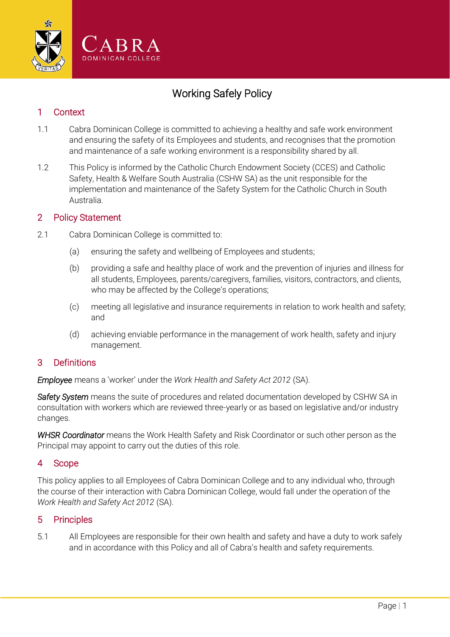

# Working Safely Policy

## 1 Context

- 1.1 Cabra Dominican College is committed to achieving a healthy and safe work environment and ensuring the safety of its Employees and students, and recognises that the promotion and maintenance of a safe working environment is a responsibility shared by all.
- 1.2 This Policy is informed by the Catholic Church Endowment Society (CCES) and Catholic Safety, Health & Welfare South Australia (CSHW SA) as the unit responsible for the implementation and maintenance of the Safety System for the Catholic Church in South Australia.

#### 2 Policy Statement

- 2.1 Cabra Dominican College is committed to:
	- (a) ensuring the safety and wellbeing of Employees and students;
	- (b) providing a safe and healthy place of work and the prevention of injuries and illness for all students, Employees, parents/caregivers, families, visitors, contractors, and clients, who may be affected by the College's operations;
	- (c) meeting all legislative and insurance requirements in relation to work health and safety; and
	- (d) achieving enviable performance in the management of work health, safety and injury management.

### 3 Definitions

*Employee* means a 'worker' under the *Work Health and Safety Act 2012* (SA).

*Safety System* means the suite of procedures and related documentation developed by CSHW SA in consultation with workers which are reviewed three-yearly or as based on legislative and/or industry changes.

*WHSR Coordinator* means the Work Health Safety and Risk Coordinator or such other person as the Principal may appoint to carry out the duties of this role.

### 4 Scope

This policy applies to all Employees of Cabra Dominican College and to any individual who, through the course of their interaction with Cabra Dominican College, would fall under the operation of the *Work Health and Safety Act 2012* (SA).

### 5 Principles

5.1 All Employees are responsible for their own health and safety and have a duty to work safely and in accordance with this Policy and all of Cabra's health and safety requirements.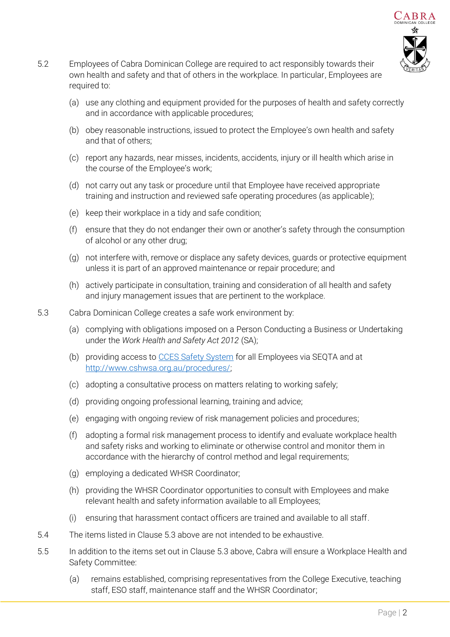

- <span id="page-1-1"></span>5.2 Employees of Cabra Dominican College are required to act responsibly towards their own health and safety and that of others in the workplace. In particular, Employees are required to:
	- (a) use any clothing and equipment provided for the purposes of health and safety correctly and in accordance with applicable procedures;
	- (b) obey reasonable instructions, issued to protect the Employee's own health and safety and that of others;
	- (c) report any hazards, near misses, incidents, accidents, injury or ill health which arise in the course of the Employee's work;
	- (d) not carry out any task or procedure until that Employee have received appropriate training and instruction and reviewed safe operating procedures (as applicable);
	- (e) keep their workplace in a tidy and safe condition;
	- (f) ensure that they do not endanger their own or another's safety through the consumption of alcohol or any other drug;
	- (g) not interfere with, remove or displace any safety devices, guards or protective equipment unless it is part of an approved maintenance or repair procedure; and
	- (h) actively participate in consultation, training and consideration of all health and safety and injury management issues that are pertinent to the workplace.
- <span id="page-1-0"></span>5.3 Cabra Dominican College creates a safe work environment by:
	- (a) complying with obligations imposed on a Person Conducting a Business or Undertaking under the *Work Health and Safety Act 2012* (SA);
	- (b) providing access to [CCES Safety System](../CCES%20Safety%20System) for all Employees via SEQTA and at [http://www.cshwsa.org.au/procedures/;](http://www.cshwsa.org.au/procedures/)
	- (c) adopting a consultative process on matters relating to working safely;
	- (d) providing ongoing professional learning, training and advice;
	- (e) engaging with ongoing review of risk management policies and procedures;
	- (f) adopting a formal risk management process to identify and evaluate workplace health and safety risks and working to eliminate or otherwise control and monitor them in accordance with the hierarchy of control method and legal requirements;
	- (g) employing a dedicated WHSR Coordinator;
	- (h) providing the WHSR Coordinator opportunities to consult with Employees and make relevant health and safety information available to all Employees;
	- (i) ensuring that harassment contact officers are trained and available to all staff.
- 5.4 The items listed in Clause [5.3 above](#page-1-0) are not intended to be exhaustive.
- 5.5 In addition to the items set out in Clause [5.3 above,](#page-1-0) Cabra will ensure a Workplace Health and Safety Committee:
	- (a) remains established, comprising representatives from the College Executive, teaching staff, ESO staff, maintenance staff and the WHSR Coordinator;